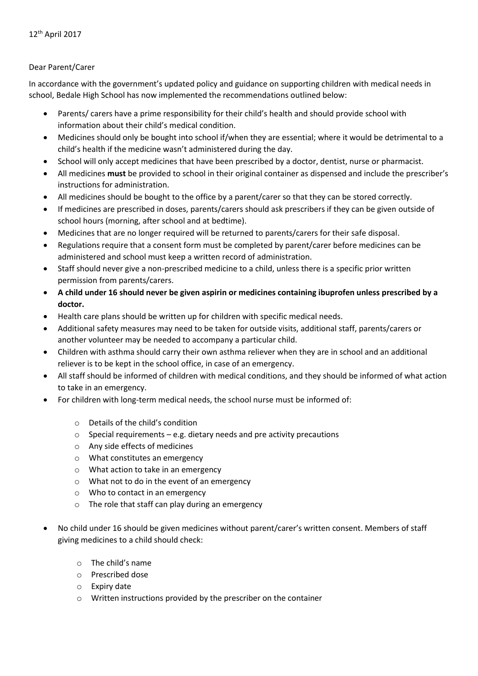## Dear Parent/Carer

In accordance with the government's updated policy and guidance on supporting children with medical needs in school, Bedale High School has now implemented the recommendations outlined below:

- Parents/ carers have a prime responsibility for their child's health and should provide school with information about their child's medical condition.
- Medicines should only be bought into school if/when they are essential; where it would be detrimental to a child's health if the medicine wasn't administered during the day.
- School will only accept medicines that have been prescribed by a doctor, dentist, nurse or pharmacist.
- All medicines **must** be provided to school in their original container as dispensed and include the prescriber's instructions for administration.
- All medicines should be bought to the office by a parent/carer so that they can be stored correctly.
- If medicines are prescribed in doses, parents/carers should ask prescribers if they can be given outside of school hours (morning, after school and at bedtime).
- Medicines that are no longer required will be returned to parents/carers for their safe disposal.
- Regulations require that a consent form must be completed by parent/carer before medicines can be administered and school must keep a written record of administration.
- Staff should never give a non-prescribed medicine to a child, unless there is a specific prior written permission from parents/carers.
- **A child under 16 should never be given aspirin or medicines containing ibuprofen unless prescribed by a doctor.**
- Health care plans should be written up for children with specific medical needs.
- Additional safety measures may need to be taken for outside visits, additional staff, parents/carers or another volunteer may be needed to accompany a particular child.
- Children with asthma should carry their own asthma reliever when they are in school and an additional reliever is to be kept in the school office, in case of an emergency.
- All staff should be informed of children with medical conditions, and they should be informed of what action to take in an emergency.
- For children with long-term medical needs, the school nurse must be informed of:
	- o Details of the child's condition
	- $\circ$  Special requirements e.g. dietary needs and pre activity precautions
	- o Any side effects of medicines
	- o What constitutes an emergency
	- o What action to take in an emergency
	- o What not to do in the event of an emergency
	- o Who to contact in an emergency
	- o The role that staff can play during an emergency
- No child under 16 should be given medicines without parent/carer's written consent. Members of staff giving medicines to a child should check:
	- o The child's name
	- o Prescribed dose
	- o Expiry date
	- o Written instructions provided by the prescriber on the container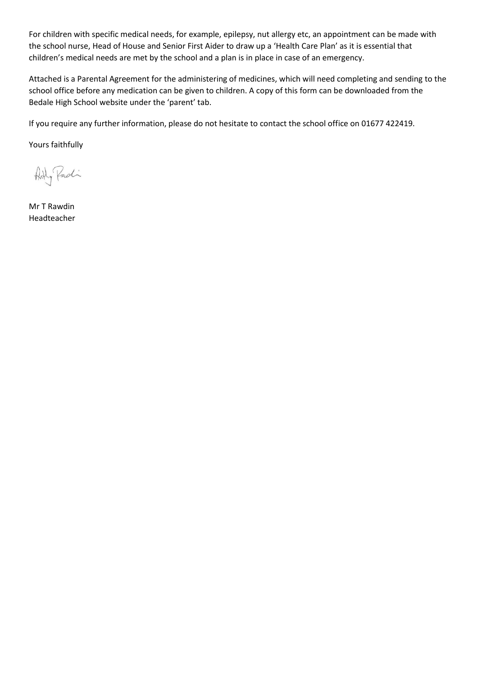For children with specific medical needs, for example, epilepsy, nut allergy etc, an appointment can be made with the school nurse, Head of House and Senior First Aider to draw up a 'Health Care Plan' as it is essential that children's medical needs are met by the school and a plan is in place in case of an emergency.

Attached is a Parental Agreement for the administering of medicines, which will need completing and sending to the school office before any medication can be given to children. A copy of this form can be downloaded from the Bedale High School website under the 'parent' tab.

If you require any further information, please do not hesitate to contact the school office on 01677 422419.

Yours faithfully

Arty Padi

Mr T Rawdin Headteacher